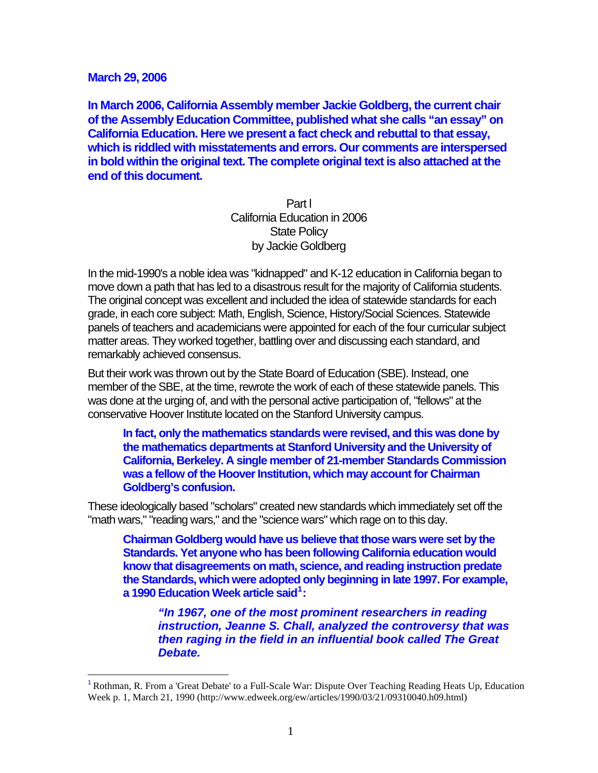#### **March 29, 2006**

 $\overline{a}$ 

**In March 2006, California Assembly member Jackie Goldberg, the current chair of the Assembly Education Committee, published what she calls "an essay" on California Education. Here we present a fact check and rebuttal to that essay, which is riddled with misstatements and errors. Our comments are interspersed in bold within the original text. The complete original text is also attached at the end of this document.** 

> Part l California Education in 2006 State Policy by Jackie Goldberg

In the mid-1990's a noble idea was "kidnapped" and K-12 education in California began to move down a path that has led to a disastrous result for the majority of California students. The original concept was excellent and included the idea of statewide standards for each grade, in each core subject: Math, English, Science, History/Social Sciences. Statewide panels of teachers and academicians were appointed for each of the four curricular subject matter areas. They worked together, battling over and discussing each standard, and remarkably achieved consensus.

But their work was thrown out by the State Board of Education (SBE). Instead, one member of the SBE, at the time, rewrote the work of each of these statewide panels. This was done at the urging of, and with the personal active participation of, "fellows" at the conservative Hoover Institute located on the Stanford University campus.

**In fact, only the mathematics standards were revised, and this was done by the mathematics departments at Stanford University and the University of California, Berkeley. A single member of 21-member Standards Commission was a fellow of the Hoover Institution, which may account for Chairman Goldberg's confusion.** 

These ideologically based "scholars" created new standards which immediately set off the "math wars," "reading wars," and the "science wars" which rage on to this day.

**Chairman Goldberg would have us believe that those wars were set by the Standards. Yet anyone who has been following California education would know that disagreements on math, science, and reading instruction predate the Standards, which were adopted only beginning in late 1997. For example, a 1990 Education Week article said[1](#page-0-0) :** 

*"In 1967, one of the most prominent researchers in reading instruction, Jeanne S. Chall, analyzed the controversy that was then raging in the field in an influential book called The Great Debate.* 

<span id="page-0-0"></span><sup>1</sup>[Rothman, R. From a 'Great Debate' to a Full-Scale War: Dispute Over Teaching Reading Heats Up, Education](http://www.edweek.org/ew/articles/1990/03/21/09310040.h09.html)  [Week p. 1, March 21, 1990 \(http://www.edweek.org/ew/articles/1990/03/21/09310040.h09.html\)](http://www.edweek.org/ew/articles/1990/03/21/09310040.h09.html)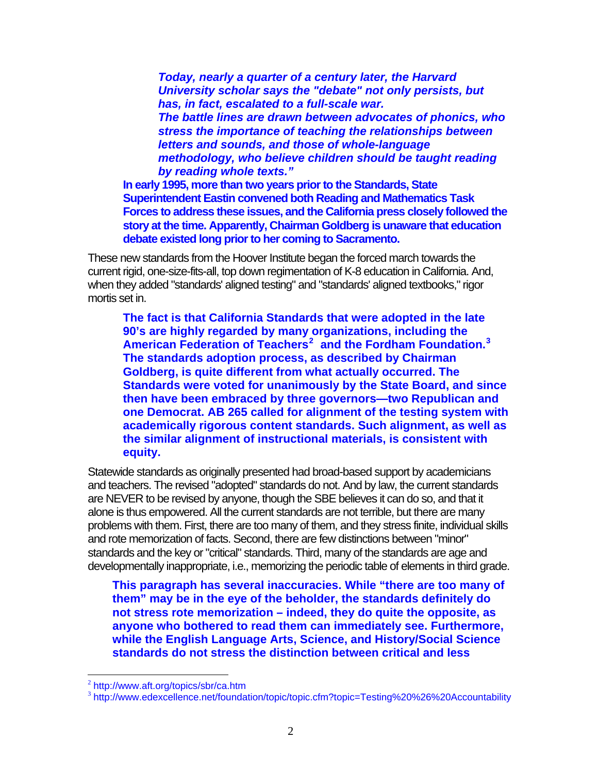*Today, nearly a quarter of a century later, the Harvard University scholar says the "debate" not only persists, but has, in fact, escalated to a full-scale war. The battle lines are drawn between advocates of phonics, who stress the importance of teaching the relationships between letters and sounds, and those of whole-language methodology, who believe children should be taught reading by reading whole texts."* 

**In early 1995, more than two years prior to the Standards, State Superintendent Eastin convened both Reading and Mathematics Task Forces to address these issues, and the California press closely followed the story at the time. Apparently, Chairman Goldberg is unaware that education debate existed long prior to her coming to Sacramento.** 

These new standards from the Hoover Institute began the forced march towards the current rigid, one-size-fits-all, top down regimentation of K-8 education in California. And, when they added "standards' aligned testing" and "standards' aligned textbooks," rigor mortis set in.

**The fact is that California Standards that were adopted in the late 90's are highly regarded by many organizations, including the American Federation of Teachers[2](#page-1-0) and the Fordham Foundation.[3](#page-1-1) The standards adoption process, as described by Chairman Goldberg, is quite different from what actually occurred. The Standards were voted for unanimously by the State Board, and since then have been embraced by three governors—two Republican and one Democrat. AB 265 called for alignment of the testing system with academically rigorous content standards. Such alignment, as well as the similar alignment of instructional materials, is consistent with equity.** 

Statewide standards as originally presented had broad-based support by academicians and teachers. The revised "adopted" standards do not. And by law, the current standards are NEVER to be revised by anyone, though the SBE believes it can do so, and that it alone is thus empowered. All the current standards are not terrible, but there are many problems with them. First, there are too many of them, and they stress finite, individual skills and rote memorization of facts. Second, there are few distinctions between "minor" standards and the key or "critical" standards. Third, many of the standards are age and developmentally inappropriate, i.e., memorizing the periodic table of elements in third grade.

**This paragraph has several inaccuracies. While "there are too many of them" may be in the eye of the beholder, the standards definitely do not stress rote memorization – indeed, they do quite the opposite, as anyone who bothered to read them can immediately see. Furthermore, while the English Language Arts, Science, and History/Social Science standards do not stress the distinction between critical and less** 

<span id="page-1-0"></span><sup>2</sup> <http://www.aft.org/topics/sbr/ca.htm>

<span id="page-1-1"></span><sup>&</sup>lt;sup>3</sup> <http://www.edexcellence.net/foundation/topic/topic.cfm?topic=Testing%20%26%20Accountability>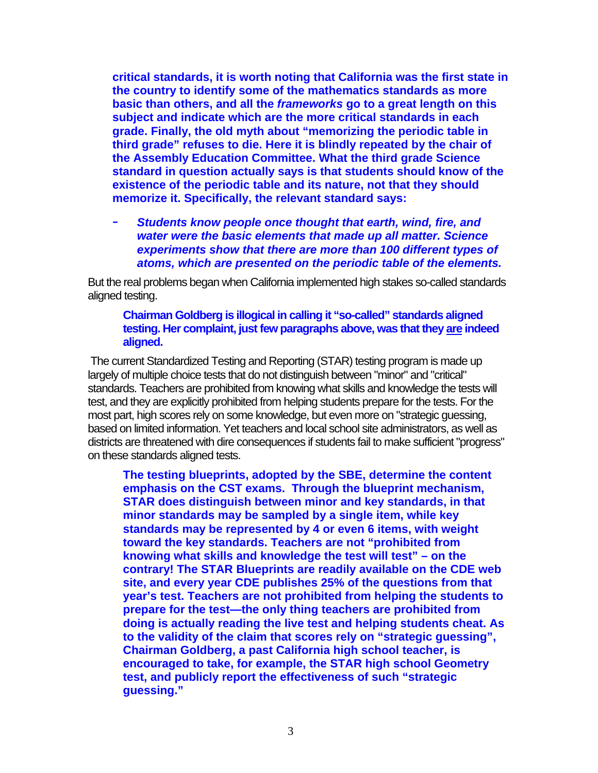**critical standards, it is worth noting that California was the first state in the country to identify some of the mathematics standards as more basic than others, and all the** *frameworks* **go to a great length on this subject and indicate which are the more critical standards in each grade. Finally, the old myth about "memorizing the periodic table in third grade" refuses to die. Here it is blindly repeated by the chair of the Assembly Education Committee. What the third grade Science standard in question actually says is that students should know of the existence of the periodic table and its nature, not that they should memorize it. Specifically, the relevant standard says:** 

- *Students know people once thought that earth, wind, fire, and water were the basic elements that made up all matter. Science experiments show that there are more than 100 different types of atoms, which are presented on the periodic table of the elements.* 

But the real problems began when California implemented high stakes so-called standards aligned testing.

# **Chairman Goldberg is illogical in calling it "so-called" standards aligned testing. Her complaint, just few paragraphs above, was that they are indeed aligned.**

 The current Standardized Testing and Reporting (STAR) testing program is made up largely of multiple choice tests that do not distinguish between "minor" and "critical" standards. Teachers are prohibited from knowing what skills and knowledge the tests will test, and they are explicitly prohibited from helping students prepare for the tests. For the most part, high scores rely on some knowledge, but even more on "strategic guessing, based on limited information. Yet teachers and local school site administrators, as well as districts are threatened with dire consequences if students fail to make sufficient "progress" on these standards aligned tests.

**The testing blueprints, adopted by the SBE, determine the content emphasis on the CST exams. Through the blueprint mechanism, STAR does distinguish between minor and key standards, in that minor standards may be sampled by a single item, while key standards may be represented by 4 or even 6 items, with weight toward the key standards. Teachers are not "prohibited from knowing what skills and knowledge the test will test" – on the contrary! The STAR Blueprints are readily available on the CDE web site, and every year CDE publishes 25% of the questions from that year's test. Teachers are not prohibited from helping the students to prepare for the test—the only thing teachers are prohibited from doing is actually reading the live test and helping students cheat. As to the validity of the claim that scores rely on "strategic guessing", Chairman Goldberg, a past California high school teacher, is encouraged to take, for example, the STAR high school Geometry test, and publicly report the effectiveness of such "strategic guessing."**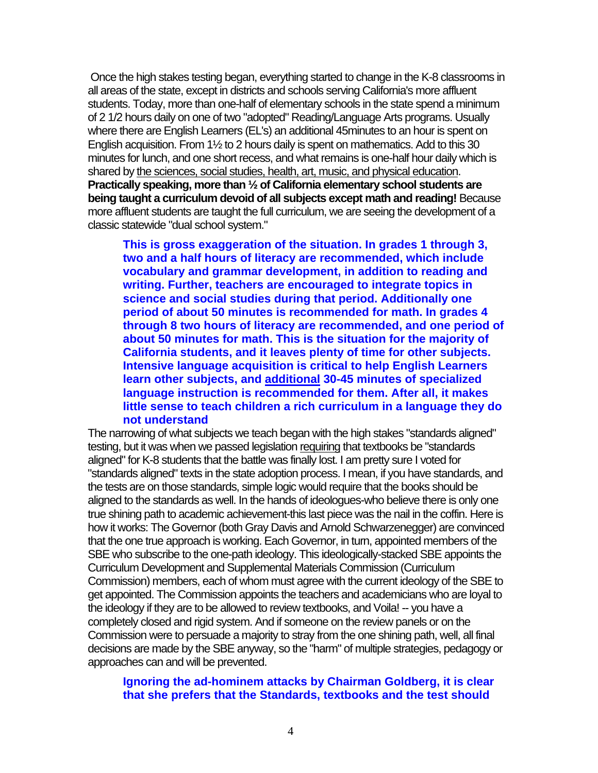Once the high stakes testing began, everything started to change in the K-8 classrooms in all areas of the state, except in districts and schools serving California's more affluent students. Today, more than one-half of elementary schools in the state spend a minimum of 2 1/2 hours daily on one of two "adopted" Reading/Language Arts programs. Usually where there are English Learners (EL's) an additional 45minutes to an hour is spent on English acquisition. From 1½ to 2 hours daily is spent on mathematics. Add to this 30 minutes for lunch, and one short recess, and what remains is one-half hour daily which is shared by the sciences, social studies, health, art, music, and physical education. **Practically speaking, more than ½ of California elementary school students are being taught a curriculum devoid of all subjects except math and reading!** Because more affluent students are taught the full curriculum, we are seeing the development of a classic statewide "dual school system."

**This is gross exaggeration of the situation. In grades 1 through 3, two and a half hours of literacy are recommended, which include vocabulary and grammar development, in addition to reading and writing. Further, teachers are encouraged to integrate topics in science and social studies during that period. Additionally one period of about 50 minutes is recommended for math. In grades 4 through 8 two hours of literacy are recommended, and one period of about 50 minutes for math. This is the situation for the majority of California students, and it leaves plenty of time for other subjects. Intensive language acquisition is critical to help English Learners learn other subjects, and additional 30-45 minutes of specialized language instruction is recommended for them. After all, it makes little sense to teach children a rich curriculum in a language they do not understand** 

The narrowing of what subjects we teach began with the high stakes "standards aligned" testing, but it was when we passed legislation requiring that textbooks be "standards aligned" for K-8 students that the battle was finally lost. I am pretty sure I voted for "standards aligned" texts in the state adoption process. I mean, if you have standards, and the tests are on those standards, simple logic would require that the books should be aligned to the standards as well. In the hands of ideologues-who believe there is only one true shining path to academic achievement-this last piece was the nail in the coffin. Here is how it works: The Governor (both Gray Davis and Arnold Schwarzenegger) are convinced that the one true approach is working. Each Governor, in turn, appointed members of the SBE who subscribe to the one-path ideology. This ideologically-stacked SBE appoints the Curriculum Development and Supplemental Materials Commission (Curriculum Commission) members, each of whom must agree with the current ideology of the SBE to get appointed. The Commission appoints the teachers and academicians who are loyal to the ideology if they are to be allowed to review textbooks, and Voila! -- you have a completely closed and rigid system. And if someone on the review panels or on the Commission were to persuade a majority to stray from the one shining path, well, all final decisions are made by the SBE anyway, so the "harm" of multiple strategies, pedagogy or approaches can and will be prevented.

#### **Ignoring the ad-hominem attacks by Chairman Goldberg, it is clear that she prefers that the Standards, textbooks and the test should**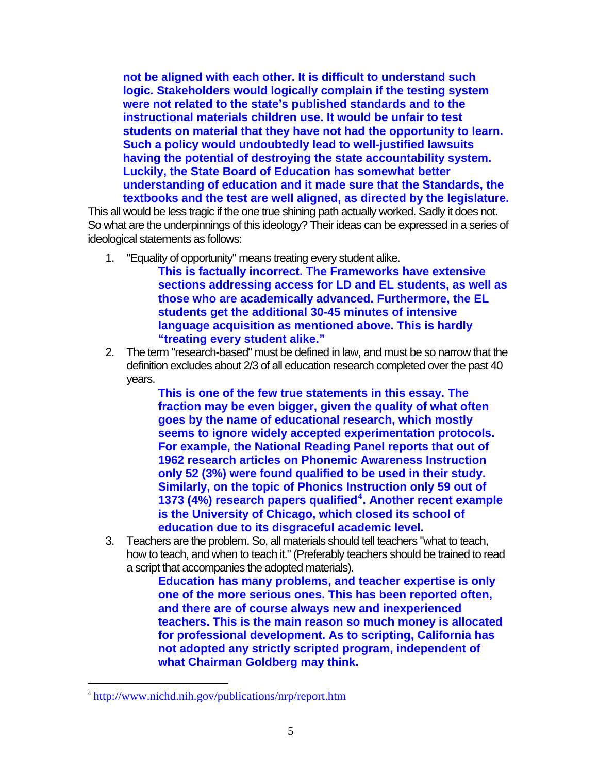**not be aligned with each other. It is difficult to understand such logic. Stakeholders would logically complain if the testing system were not related to the state's published standards and to the instructional materials children use. It would be unfair to test students on material that they have not had the opportunity to learn. Such a policy would undoubtedly lead to well-justified lawsuits having the potential of destroying the state accountability system. Luckily, the State Board of Education has somewhat better understanding of education and it made sure that the Standards, the textbooks and the test are well aligned, as directed by the legislature.** 

This all would be less tragic if the one true shining path actually worked. Sadly it does not. So what are the underpinnings of this ideology? Their ideas can be expressed in a series of ideological statements as follows:

- 1. "Equality of opportunity" means treating every student alike.
	- **This is factually incorrect. The Frameworks have extensive sections addressing access for LD and EL students, as well as those who are academically advanced. Furthermore, the EL students get the additional 30-45 minutes of intensive language acquisition as mentioned above. This is hardly "treating every student alike."**
- 2. The term "research-based" must be defined in law, and must be so narrow that the definition excludes about 2/3 of all education research completed over the past 40 years.

**This is one of the few true statements in this essay. The fraction may be even bigger, given the quality of what often goes by the name of educational research, which mostly seems to ignore widely accepted experimentation protocols. For example, the National Reading Panel reports that out of 1962 research articles on Phonemic Awareness Instruction only 52 (3%) were found qualified to be used in their study. Similarly, on the topic of Phonics Instruction only 59 out of 1373 (4%) research papers qualified[4](#page-4-0) . Another recent example is the University of Chicago, which closed its school of education due to its disgraceful academic level.** 

3. Teachers are the problem. So, all materials should tell teachers "what to teach, how to teach, and when to teach it." (Preferably teachers should be trained to read a script that accompanies the adopted materials).

**Education has many problems, and teacher expertise is only one of the more serious ones. This has been reported often, and there are of course always new and inexperienced teachers. This is the main reason so much money is allocated for professional development. As to scripting, California has not adopted any strictly scripted program, independent of what Chairman Goldberg may think.** 

<span id="page-4-0"></span><sup>4</sup> <http://www.nichd.nih.gov/publications/nrp/report.htm>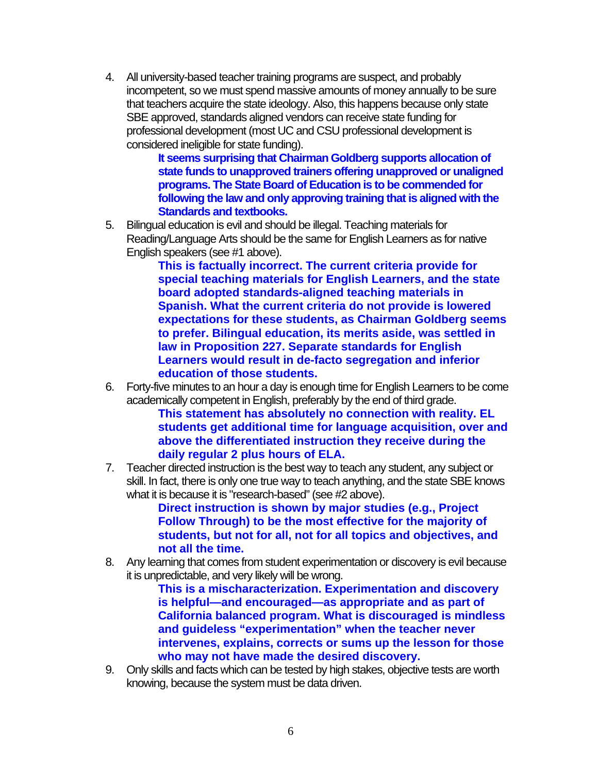4. All university-based teacher training programs are suspect, and probably incompetent, so we must spend massive amounts of money annually to be sure that teachers acquire the state ideology. Also, this happens because only state SBE approved, standards aligned vendors can receive state funding for professional development (most UC and CSU professional development is considered ineligible for state funding).

**It seems surprising that Chairman Goldberg supports allocation of state funds to unapproved trainers offering unapproved or unaligned programs. The State Board of Education is to be commended for following the law and only approving training that is aligned with the Standards and textbooks.** 

5. Bilingual education is evil and should be illegal. Teaching materials for Reading/Language Arts should be the same for English Learners as for native English speakers (see #1 above).

**This is factually incorrect. The current criteria provide for special teaching materials for English Learners, and the state board adopted standards-aligned teaching materials in Spanish. What the current criteria do not provide is lowered expectations for these students, as Chairman Goldberg seems to prefer. Bilingual education, its merits aside, was settled in law in Proposition 227. Separate standards for English Learners would result in de-facto segregation and inferior education of those students.** 

6. Forty-five minutes to an hour a day is enough time for English Learners to be come academically competent in English, preferably by the end of third grade.

**This statement has absolutely no connection with reality. EL students get additional time for language acquisition, over and above the differentiated instruction they receive during the daily regular 2 plus hours of ELA.** 

7. Teacher directed instruction is the best way to teach any student, any subject or skill. In fact, there is only one true way to teach anything, and the state SBE knows what it is because it is "research-based" (see #2 above).

**Direct instruction is shown by major studies (e.g., Project Follow Through) to be the most effective for the majority of students, but not for all, not for all topics and objectives, and not all the time.** 

8. Any learning that comes from student experimentation or discovery is evil because it is unpredictable, and very likely will be wrong.

**This is a mischaracterization. Experimentation and discovery is helpful—and encouraged—as appropriate and as part of California balanced program. What is discouraged is mindless and guideless "experimentation" when the teacher never intervenes, explains, corrects or sums up the lesson for those who may not have made the desired discovery.** 

9. Only skills and facts which can be tested by high stakes, objective tests are worth knowing, because the system must be data driven.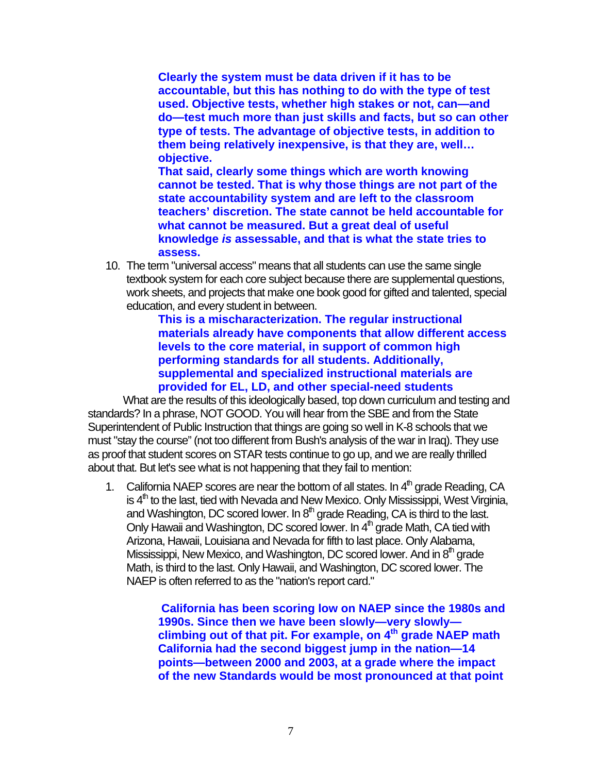**Clearly the system must be data driven if it has to be accountable, but this has nothing to do with the type of test used. Objective tests, whether high stakes or not, can—and do—test much more than just skills and facts, but so can other type of tests. The advantage of objective tests, in addition to them being relatively inexpensive, is that they are, well… objective.** 

**That said, clearly some things which are worth knowing cannot be tested. That is why those things are not part of the state accountability system and are left to the classroom teachers' discretion. The state cannot be held accountable for what cannot be measured. But a great deal of useful knowledge** *is* **assessable, and that is what the state tries to assess.** 

10. The term "universal access" means that all students can use the same single textbook system for each core subject because there are supplemental questions, work sheets, and projects that make one book good for gifted and talented, special education, and every student in between.

> **This is a mischaracterization. The regular instructional materials already have components that allow different access levels to the core material, in support of common high performing standards for all students. Additionally, supplemental and specialized instructional materials are provided for EL, LD, and other special-need students**

What are the results of this ideologically based, top down curriculum and testing and standards? In a phrase, NOT GOOD. You will hear from the SBE and from the State Superintendent of Public Instruction that things are going so well in K-8 schools that we must "stay the course" (not too different from Bush's analysis of the war in Iraq). They use as proof that student scores on STAR tests continue to go up, and we are really thrilled about that. But let's see what is not happening that they fail to mention:

1. California NAEP scores are near the bottom of all states. In  $4<sup>th</sup>$  grade Reading, CA is  $4<sup>th</sup>$  to the last, tied with Nevada and New Mexico. Only Mississippi, West Virginia, and Washington, DC scored lower. In  $8<sup>th</sup>$  grade Reading, CA is third to the last. Only Hawaii and Washington, DC scored lower. In  $4<sup>th</sup>$  grade Math, CA tied with Arizona, Hawaii, Louisiana and Nevada for fifth to last place. Only Alabama, Mississippi, New Mexico, and Washington, DC scored lower. And in 8<sup>th</sup> grade Math, is third to the last. Only Hawaii, and Washington, DC scored lower. The NAEP is often referred to as the "nation's report card."

> **California has been scoring low on NAEP since the 1980s and 1990s. Since then we have been slowly—very slowly climbing out of that pit. For example, on 4th grade NAEP math California had the second biggest jump in the nation—14 points—between 2000 and 2003, at a grade where the impact of the new Standards would be most pronounced at that point**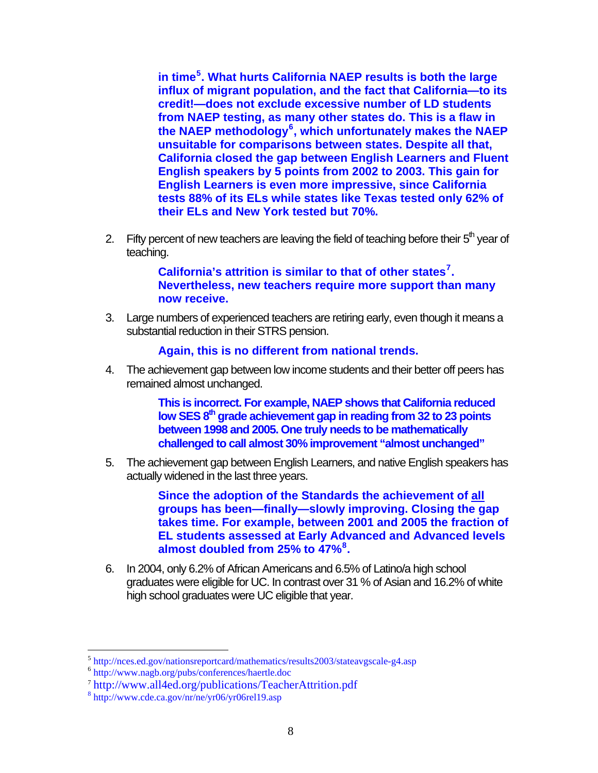**in time[5](#page-7-0) . What hurts California NAEP results is both the large influx of migrant population, and the fact that California—to its credit!—does not exclude excessive number of LD students from NAEP testing, as many other states do. This is a flaw in the NAEP methodology[6](#page-7-1) , which unfortunately makes the NAEP unsuitable for comparisons between states. Despite all that, California closed the gap between English Learners and Fluent English speakers by 5 points from 2002 to 2003. This gain for English Learners is even more impressive, since California tests 88% of its ELs while states like Texas tested only 62% of their ELs and New York tested but 70%.** 

2. Fifty percent of new teachers are leaving the field of teaching before their  $5<sup>th</sup>$  year of teaching.

> **California's attrition is similar to that of other states[7](#page-7-2) . Nevertheless, new teachers require more support than many now receive.**

3. Large numbers of experienced teachers are retiring early, even though it means a substantial reduction in their STRS pension.

**Again, this is no different from national trends.** 

4. The achievement gap between low income students and their better off peers has remained almost unchanged.

> **This is incorrect. For example, NAEP shows that California reduced**  low SES 8<sup>th</sup> grade achievement gap in reading from 32 to 23 points **between 1998 and 2005. One truly needs to be mathematically challenged to call almost 30% improvement "almost unchanged"**

5. The achievement gap between English Learners, and native English speakers has actually widened in the last three years.

> **Since the adoption of the Standards the achievement of all groups has been—finally—slowly improving. Closing the gap takes time. For example, between 2001 and 2005 the fraction of EL students assessed at Early Advanced and Advanced levels almost doubled from 25% to 47%[8](#page-7-3) .**

6. In 2004, only 6.2% of African Americans and 6.5% of Latino/a high school graduates were eligible for UC. In contrast over 31 % of Asian and 16.2% of white high school graduates were UC eligible that year.

<span id="page-7-0"></span><sup>&</sup>lt;sup>5</sup> <http://nces.ed.gov/nationsreportcard/mathematics/results2003/stateavgscale-g4.asp><br><sup>6</sup> <http://www.nagb.org/pubs/conferences/haertle.doc>

<span id="page-7-1"></span>

<span id="page-7-2"></span><sup>7</sup> <http://www.all4ed.org/publications/TeacherAttrition.pdf> <sup>8</sup>

<span id="page-7-3"></span><http://www.cde.ca.gov/nr/ne/yr06/yr06rel19.asp>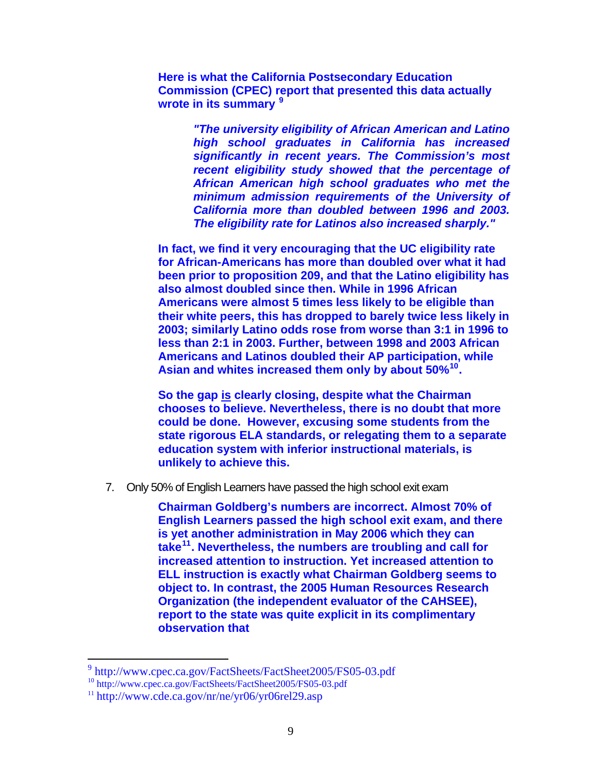**Here is what the California Postsecondary Education Commission (CPEC) report that presented this data actually wrote in its summary [9](#page-8-0)**

> *"The university eligibility of African American and Latino high school graduates in California has increased significantly in recent years. The Commission's most recent eligibility study showed that the percentage of African American high school graduates who met the minimum admission requirements of the University of California more than doubled between 1996 and 2003. The eligibility rate for Latinos also increased sharply."*

**In fact, we find it very encouraging that the UC eligibility rate for African-Americans has more than doubled over what it had been prior to proposition 209, and that the Latino eligibility has also almost doubled since then. While in 1996 African Americans were almost 5 times less likely to be eligible than their white peers, this has dropped to barely twice less likely in 2003; similarly Latino odds rose from worse than 3:1 in 1996 to less than 2:1 in 2003. Further, between 1998 and 2003 African Americans and Latinos doubled their AP participation, while Asian and whites increased them only by about 50%[10](#page-8-1).** 

**So the gap is clearly closing, despite what the Chairman chooses to believe. Nevertheless, there is no doubt that more could be done. However, excusing some students from the state rigorous ELA standards, or relegating them to a separate education system with inferior instructional materials, is unlikely to achieve this.** 

7. Only 50% of English Learners have passed the high school exit exam

**Chairman Goldberg's numbers are incorrect. Almost 70% of English Learners passed the high school exit exam, and there is yet another administration in May 2006 which they can take[11](#page-8-2). Nevertheless, the numbers are troubling and call for increased attention to instruction. Yet increased attention to ELL instruction is exactly what Chairman Goldberg seems to object to. In contrast, the 2005 Human Resources Research Organization (the independent evaluator of the CAHSEE), report to the state was quite explicit in its complimentary observation that** 

<span id="page-8-0"></span><sup>9</sup> <http://www.cpec.ca.gov/FactSheets/FactSheet2005/FS05-03.pdf>

<span id="page-8-1"></span><sup>&</sup>lt;sup>10</sup> <http://www.cpec.ca.gov/FactSheets/FactSheet2005/FS05-03.pdf>

<span id="page-8-2"></span> $11 \text{ http://www.cde.ca.gov/nr/ne/yr06/yr06rel29.asp}$  $11 \text{ http://www.cde.ca.gov/nr/ne/yr06/yr06rel29.asp}$  $11 \text{ http://www.cde.ca.gov/nr/ne/yr06/yr06rel29.asp}$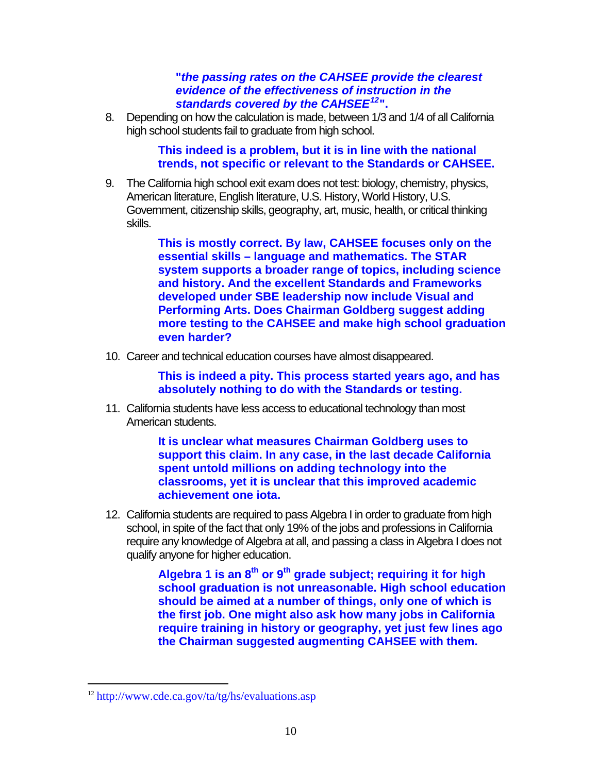# **"***the passing rates on the CAHSEE provide the clearest evidence of the effectiveness of instruction in the standards covered by the CAHSEE[12](#page-9-0)***".**

8. Depending on how the calculation is made, between 1/3 and 1/4 of all California high school students fail to graduate from high school.

> **This indeed is a problem, but it is in line with the national trends, not specific or relevant to the Standards or CAHSEE.**

9. The California high school exit exam does not test: biology, chemistry, physics, American literature, English literature, U.S. History, World History, U.S. Government, citizenship skills, geography, art, music, health, or critical thinking skills.

> **This is mostly correct. By law, CAHSEE focuses only on the essential skills – language and mathematics. The STAR system supports a broader range of topics, including science and history. And the excellent Standards and Frameworks developed under SBE leadership now include Visual and Performing Arts. Does Chairman Goldberg suggest adding more testing to the CAHSEE and make high school graduation even harder?**

10. Career and technical education courses have almost disappeared.

**This is indeed a pity. This process started years ago, and has absolutely nothing to do with the Standards or testing.**

11. California students have less access to educational technology than most American students.

> **It is unclear what measures Chairman Goldberg uses to support this claim. In any case, in the last decade California spent untold millions on adding technology into the classrooms, yet it is unclear that this improved academic achievement one iota.**

12. California students are required to pass Algebra I in order to graduate from high school, in spite of the fact that only 19% of the jobs and professions in California require any knowledge of Algebra at all, and passing a class in Algebra I does not qualify anyone for higher education.

> Algebra 1 is an 8<sup>th</sup> or 9<sup>th</sup> grade subject; requiring it for high **school graduation is not unreasonable. High school education should be aimed at a number of things, only one of which is the first job. One might also ask how many jobs in California require training in history or geography, yet just few lines ago the Chairman suggested augmenting CAHSEE with them.**

<span id="page-9-0"></span><sup>12</sup> <http://www.cde.ca.gov/ta/tg/hs/evaluations.asp>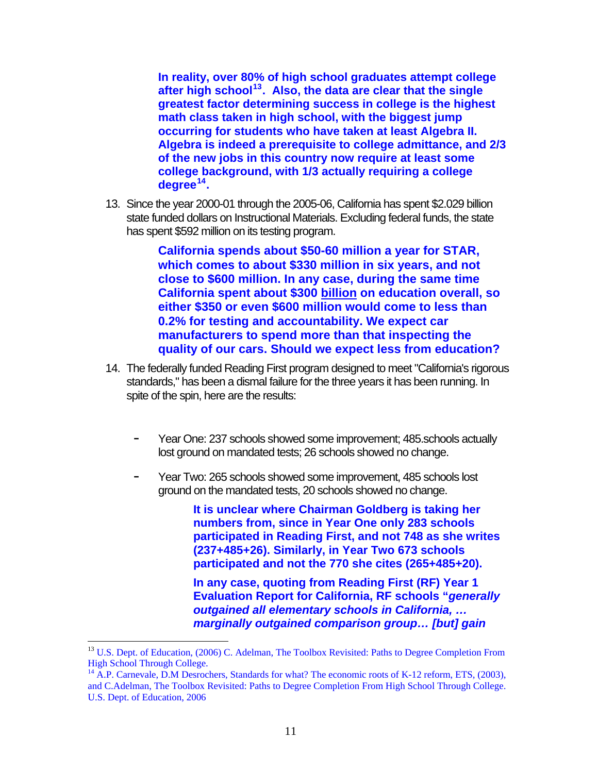**In reality, over 80% of high school graduates attempt college after high school[13](#page-10-0). Also, the data are clear that the single greatest factor determining success in college is the highest math class taken in high school, with the biggest jump occurring for students who have taken at least Algebra II. Algebra is indeed a prerequisite to college admittance, and 2/3 of the new jobs in this country now require at least some college background, with 1/3 actually requiring a college degree[14](#page-10-1).**

13. Since the year 2000-01 through the 2005-06, California has spent \$2.029 billion state funded dollars on Instructional Materials. Excluding federal funds, the state has spent \$592 million on its testing program.

> **California spends about \$50-60 million a year for STAR, which comes to about \$330 million in six years, and not close to \$600 million. In any case, during the same time California spent about \$300 billion on education overall, so either \$350 or even \$600 million would come to less than 0.2% for testing and accountability. We expect car manufacturers to spend more than that inspecting the quality of our cars. Should we expect less from education?**

- 14. The federally funded Reading First program designed to meet "California's rigorous standards," has been a dismal failure for the three years it has been running. In spite of the spin, here are the results:
	- Year One: 237 schools showed some improvement; 485 schools actually lost ground on mandated tests; 26 schools showed no change.
	- Year Two: 265 schools showed some improvement, 485 schools lost ground on the mandated tests, 20 schools showed no change.

**It is unclear where Chairman Goldberg is taking her numbers from, since in Year One only 283 schools participated in Reading First, and not 748 as she writes (237+485+26). Similarly, in Year Two 673 schools participated and not the 770 she cites (265+485+20).** 

**In any case, quoting from Reading First (RF) Year 1 Evaluation Report for California, RF schools "***generally outgained all elementary schools in California, … marginally outgained comparison group… [but] gain* 

<span id="page-10-0"></span><sup>&</sup>lt;sup>13</sup> U.S. Dept. of Education, (2006) C. Adelman, The Toolbox Revisited: Paths to Degree Completion From High School Through College.

<span id="page-10-1"></span><sup>&</sup>lt;sup>14</sup> A.P. Carnevale, D.M Desrochers, Standards for what? The economic roots of K-12 reform, ETS, (2003), and C.Adelman, The Toolbox Revisited: Paths to Degree Completion From High School Through College. U.S. Dept. of Education, 2006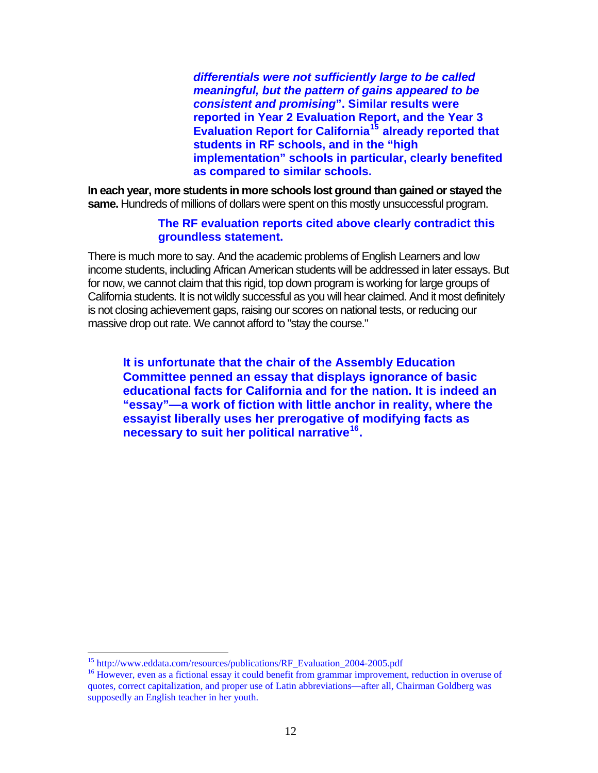*differentials were not sufficiently large to be called meaningful, but the pattern of gains appeared to be consistent and promising***". Similar results were reported in Year 2 Evaluation Report, and the Year 3 Evaluation Report for California[15](#page-11-0) already reported that students in RF schools, and in the "high implementation" schools in particular, clearly benefited as compared to similar schools.** 

**In each year, more students in more schools lost ground than gained or stayed the same.** Hundreds of millions of dollars were spent on this mostly unsuccessful program.

### **The RF evaluation reports cited above clearly contradict this groundless statement.**

There is much more to say. And the academic problems of English Learners and low income students, including African American students will be addressed in later essays. But for now, we cannot claim that this rigid, top down program is working for large groups of California students. It is not wildly successful as you will hear claimed. And it most definitely is not closing achievement gaps, raising our scores on national tests, or reducing our massive drop out rate. We cannot afford to "stay the course."

**It is unfortunate that the chair of the Assembly Education Committee penned an essay that displays ignorance of basic educational facts for California and for the nation. It is indeed an "essay"—a work of fiction with little anchor in reality, where the essayist liberally uses her prerogative of modifying facts as necessary to suit her political narrative[16](#page-11-1).** 

<sup>&</sup>lt;sup>15</sup> http://www.eddata.com/resources/publications/RF Evaluation 2004-2005.pdf

<span id="page-11-1"></span><span id="page-11-0"></span> $16$  However, even as a fictional essay it could benefit from grammar improvement, reduction in overuse of quotes, correct capitalization, and proper use of Latin abbreviations—after all, Chairman Goldberg was supposedly an English teacher in her youth.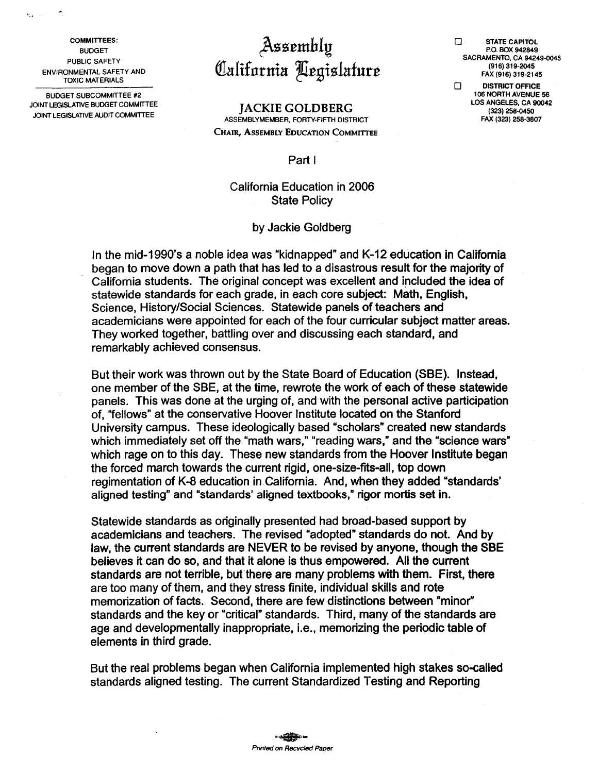**COMMITTEES: BUDGET** PUBLIC SAFETY **ENVIRONMENTAL SAFETY AND TOXIC MATERIALS** 

 $\mathbf{Q}_{\mathbf{a}}$  ,  $\mathbf{Q}_{\mathbf{a}}$  ,

 $\mathcal{A}_i$ 

**BUDGET SUBCOMMITTEE #2** JOINT LEGISLATIVE BUDGET COMMITTEE JOINT LEGISLATIVE AUDIT COMMITTEE

# Assembly<br>California Aegislature

#### **IACKIE GOLDBERG** ASSEMBLYMEMBER, FORTY-FIFTH DISTRICT CHAIR, ASSEMBLY EDUCATION COMMITTEE

 $\Box$ **STATE CAPITOL** P.O. BOX 942849 SACRAMENTO, CA 94249-0045 (916) 319-2045 FAX (916) 319-2145

**DISTRICT OFFICE**  $\Box$ 106 NORTH AVENUE 56 LOS ANGELES, CA 90042 (323) 258-0450 FAX (323) 258-3807

Part I

## California Education in 2006 **State Policy**

#### by Jackie Goldberg

In the mid-1990's a noble idea was "kidnapped" and K-12 education in California began to move down a path that has led to a disastrous result for the majority of California students. The original concept was excellent and included the idea of statewide standards for each grade, in each core subject: Math, English, Science, History/Social Sciences. Statewide panels of teachers and academicians were appointed for each of the four curricular subject matter areas. They worked together, battling over and discussing each standard, and remarkably achieved consensus.

But their work was thrown out by the State Board of Education (SBE). Instead, one member of the SBE, at the time, rewrote the work of each of these statewide panels. This was done at the urging of, and with the personal active participation of, "fellows" at the conservative Hoover Institute located on the Stanford University campus. These ideologically based "scholars" created new standards which immediately set off the "math wars," "reading wars," and the "science wars" which rage on to this day. These new standards from the Hoover Institute began the forced march towards the current rigid, one-size-fits-all, top down regimentation of K-8 education in California. And, when they added "standards" aligned testing" and "standards' aligned textbooks," rigor mortis set in.

Statewide standards as originally presented had broad-based support by academicians and teachers. The revised "adopted" standards do not. And by law, the current standards are NEVER to be revised by anyone, though the SBE believes it can do so, and that it alone is thus empowered. All the current standards are not terrible, but there are many problems with them. First, there are too many of them, and they stress finite, individual skills and rote memorization of facts. Second, there are few distinctions between "minor" standards and the key or "critical" standards. Third, many of the standards are age and developmentally inappropriate, i.e., memorizing the periodic table of elements in third grade.

But the real problems began when California implemented high stakes so-called standards aligned testing. The current Standardized Testing and Reporting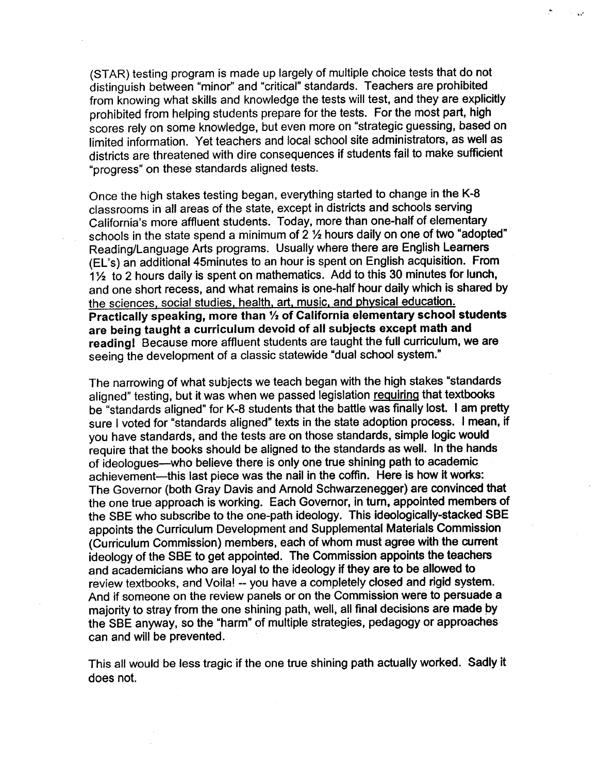(STAR) testing program is made up largely of multiple choice tests that do not distinguish between "minor" and "critical" standards. Teachers are prohibited from knowing what skills and knowledge the tests will test, and they are explicitly prohibited from helping students prepare for the tests. For the most part, high scores rely on some knowledge, but even more on "strategic guessing, based on limited information. Yet teachers and local school site administrators, as well as districts are threatened with dire consequences if students fail to make sufficient "progress" on these standards aligned tests.

Once the high stakes testing began, everything started to change in the K-8 classrooms in all areas of the state, except in districts and schools serving California's more affluent students. Today, more than one-half of elementary schools in the state spend a minimum of 2 1/2 hours daily on one of two "adopted" Reading/Language Arts programs. Usually where there are English Learners (EL's) an additional 45minutes to an hour is spent on English acquisition. From 11/2 to 2 hours daily is spent on mathematics. Add to this 30 minutes for lunch, and one short recess, and what remains is one-half hour daily which is shared by the sciences, social studies, health, art, music, and physical education. Practically speaking, more than 1/2 of California elementary school students are being taught a curriculum devoid of all subjects except math and reading! Because more affluent students are taught the full curriculum, we are seeing the development of a classic statewide "dual school system."

The narrowing of what subjects we teach began with the high stakes "standards aligned" testing, but it was when we passed legislation requiring that textbooks be "standards aligned" for K-8 students that the battle was finally lost. I am pretty sure I voted for "standards aligned" texts in the state adoption process. I mean, if you have standards, and the tests are on those standards, simple logic would require that the books should be aligned to the standards as well. In the hands of ideologues—who believe there is only one true shining path to academic achievement—this last piece was the nail in the coffin. Here is how it works: The Governor (both Gray Davis and Arnold Schwarzenegger) are convinced that the one true approach is working. Each Governor, in turn, appointed members of the SBE who subscribe to the one-path ideology. This ideologically-stacked SBE appoints the Curriculum Development and Supplemental Materials Commission (Curriculum Commission) members, each of whom must agree with the current ideology of the SBE to get appointed. The Commission appoints the teachers and academicians who are loyal to the ideology if they are to be allowed to review textbooks, and Voila! -- you have a completely closed and rigid system. And if someone on the review panels or on the Commission were to persuade a majority to stray from the one shining path, well, all final decisions are made by the SBE anyway, so the "harm" of multiple strategies, pedagogy or approaches can and will be prevented.

This all would be less tragic if the one true shining path actually worked. Sadly it does not.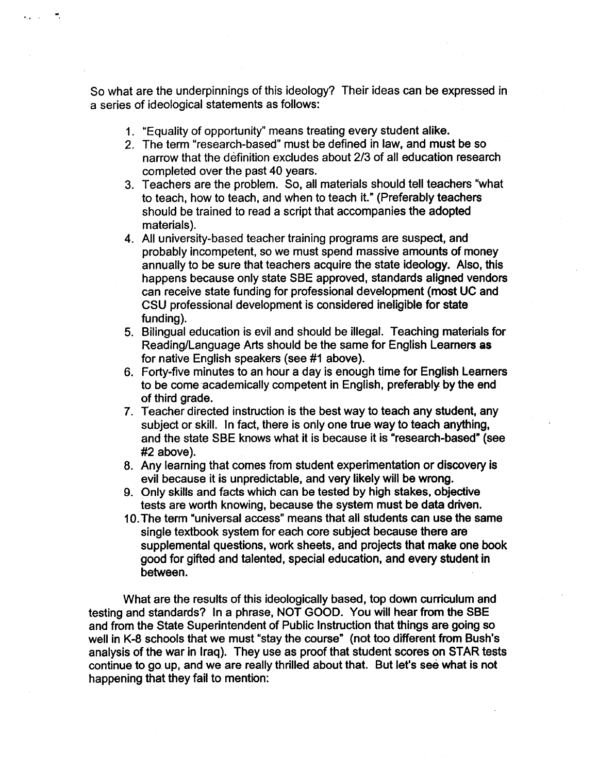So what are the underpinnings of this ideology? Their ideas can be expressed in a series of ideological statements as follows:

1. "Equality of opportunity" means treating every student alike.

.<br>Kabupatèn

- 2. The term "research-based" must be defined in law, and must be so narrow that the definition excludes about 2/3 of all education research completed over the past 40 years.
- 3. Teachers are the problem. So, all materials should tell teachers "what to teach, how to teach, and when to teach it." (Preferably teachers should be trained to read a script that accompanies the adopted materials).
- 4. All university-based teacher training programs are suspect, and probably incompetent, so we must spend massive amounts of money annually to be sure that teachers acquire the state ideology. Also, this happens because only state SBE approved, standards aligned vendors can receive state funding for professional development (most UC and CSU professional development is considered ineligible for state fundina).
- 5. Bilingual education is evil and should be illegal. Teaching materials for Reading/Language Arts should be the same for English Learners as for native English speakers (see #1 above).
- 6. Forty-five minutes to an hour a day is enough time for English Learners to be come academically competent in English, preferably by the end of third grade.
- 7. Teacher directed instruction is the best way to teach any student, any subject or skill. In fact, there is only one true way to teach anything, and the state SBE knows what it is because it is "research-based" (see #2 above).
- 8. Any learning that comes from student experimentation or discovery is evil because it is unpredictable, and very likely will be wrong.
- 9. Only skills and facts which can be tested by high stakes, objective tests are worth knowing, because the system must be data driven.
- 10. The term "universal access" means that all students can use the same single textbook system for each core subject because there are supplemental questions, work sheets, and projects that make one book good for gifted and talented, special education, and every student in between.

What are the results of this ideologically based, top down curriculum and testing and standards? In a phrase, NOT GOOD. You will hear from the SBE and from the State Superintendent of Public Instruction that things are going so well in K-8 schools that we must "stay the course" (not too different from Bush's analysis of the war in Irag). They use as proof that student scores on STAR tests continue to go up, and we are really thrilled about that. But let's see what is not happening that they fail to mention: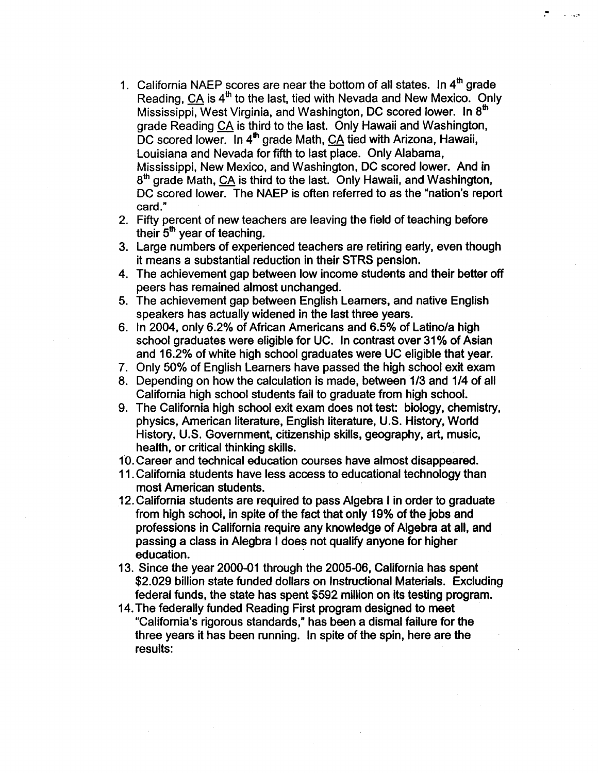- 1. California NAEP scores are near the bottom of all states. In 4<sup>th</sup> grade Reading, CA is 4<sup>th</sup> to the last, tied with Nevada and New Mexico. Only Mississippi, West Virginia, and Washington, DC scored lower. In 8<sup>th</sup> grade Reading CA is third to the last. Only Hawaii and Washington, DC scored lower. In 4<sup>th</sup> grade Math, CA tied with Arizona, Hawaii, Louisiana and Nevada for fifth to last place. Only Alabama, Mississippi, New Mexico, and Washington, DC scored lower. And in 8<sup>th</sup> grade Math, CA is third to the last. Only Hawaii, and Washington, DC scored lower. The NAEP is often referred to as the "nation's report card."
- 2. Fifty percent of new teachers are leaving the field of teaching before their 5<sup>th</sup> year of teaching.
- 3. Large numbers of experienced teachers are retiring early, even though it means a substantial reduction in their STRS pension.
- 4. The achievement gap between low income students and their better off peers has remained almost unchanged.
- 5. The achievement gap between English Learners, and native English speakers has actually widened in the last three years.
- 6. In 2004, only 6.2% of African Americans and 6.5% of Latino/a high school graduates were eligible for UC. In contrast over 31% of Asian and 16.2% of white high school graduates were UC eligible that year.
- 7. Only 50% of English Learners have passed the high school exit exam
- 8. Depending on how the calculation is made, between 1/3 and 1/4 of all California high school students fail to graduate from high school.
- 9. The California high school exit exam does not test: biology, chemistry, physics, American literature, English literature, U.S. History, World History, U.S. Government, citizenship skills, geography, art, music, health, or critical thinking skills.
- 10. Career and technical education courses have almost disappeared.
- 11. California students have less access to educational technology than most American students.
- 12. California students are required to pass Algebra I in order to graduate from high school, in spite of the fact that only 19% of the jobs and professions in California require any knowledge of Algebra at all, and passing a class in Alegbra I does not qualify anyone for higher education.
- 13. Since the year 2000-01 through the 2005-06, California has spent \$2,029 billion state funded dollars on Instructional Materials. Excluding federal funds, the state has spent \$592 million on its testing program.
- 14. The federally funded Reading First program designed to meet "California's rigorous standards," has been a dismal failure for the three years it has been running. In spite of the spin, here are the results: